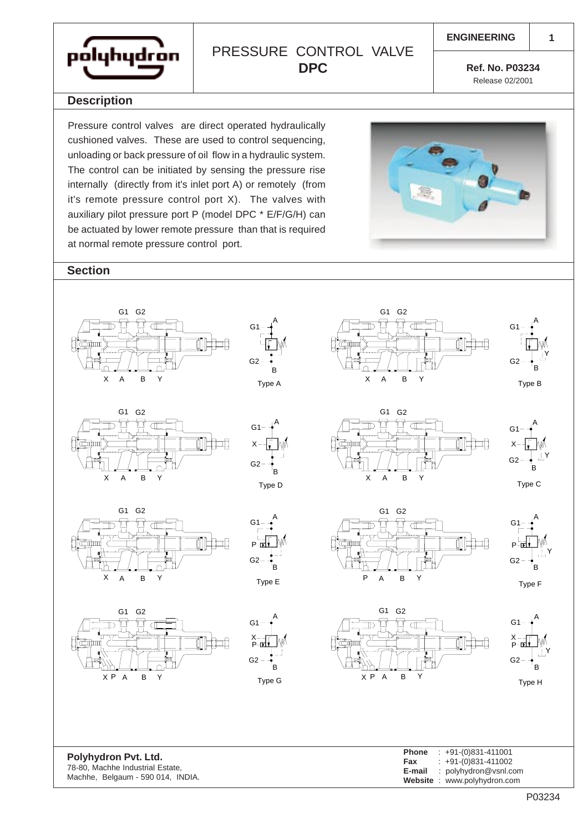

## PRESSURE CONTROL VALVE **DPC**

**1**

**Ref. No. P03234** Release 02/2001

## **Description**

Pressure control valves are direct operated hydraulically cushioned valves. These are used to control sequencing, unloading or back pressure of oil flow in a hydraulic system. The control can be initiated by sensing the pressure rise internally (directly from it's inlet port A) or remotely (from it's remote pressure control port X). The valves with auxiliary pilot pressure port P (model DPC \* E/F/G/H) can be actuated by lower remote pressure than that is required at normal remote pressure control port.



## **Section**



**Website** : www.polyhydron.com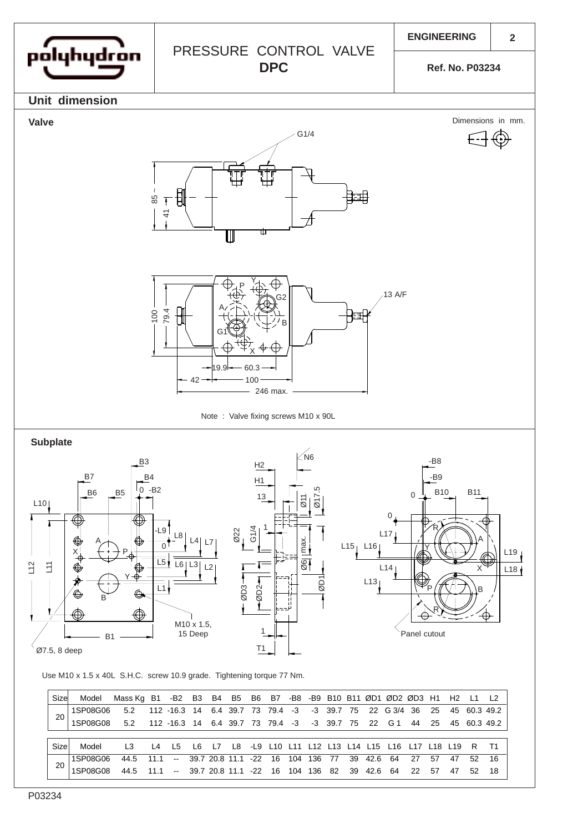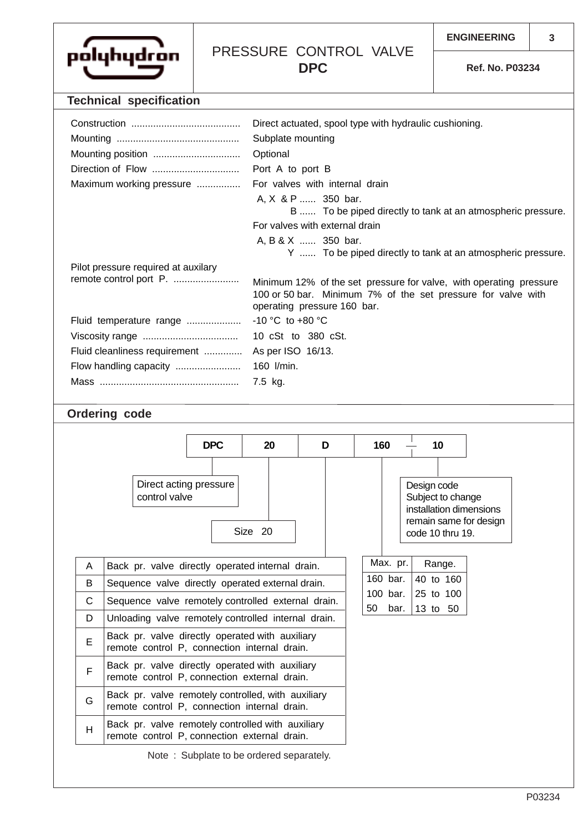

## PRESSURE CONTROL VALVE **DPC**

**Ref. No. P03234**

|                                                                                                      |   |                                                                                                           | <b>Technical specification</b>      |                               |                                                        |                                                                                             |  |                        |                                            |           |  |  |  |  |
|------------------------------------------------------------------------------------------------------|---|-----------------------------------------------------------------------------------------------------------|-------------------------------------|-------------------------------|--------------------------------------------------------|---------------------------------------------------------------------------------------------|--|------------------------|--------------------------------------------|-----------|--|--|--|--|
|                                                                                                      |   |                                                                                                           |                                     |                               | Direct actuated, spool type with hydraulic cushioning. |                                                                                             |  |                        |                                            |           |  |  |  |  |
|                                                                                                      |   |                                                                                                           |                                     |                               |                                                        | Subplate mounting                                                                           |  |                        |                                            |           |  |  |  |  |
|                                                                                                      |   |                                                                                                           |                                     |                               |                                                        | Optional                                                                                    |  |                        |                                            |           |  |  |  |  |
| Direction of Flow                                                                                    |   |                                                                                                           |                                     |                               |                                                        | Port A to port B                                                                            |  |                        |                                            |           |  |  |  |  |
| Maximum working pressure                                                                             |   |                                                                                                           |                                     |                               |                                                        | For valves with internal drain                                                              |  |                        |                                            |           |  |  |  |  |
|                                                                                                      |   |                                                                                                           |                                     |                               |                                                        | A, X & P  350 bar.<br>B  To be piped directly to tank at an atmospheric pressure.           |  |                        |                                            |           |  |  |  |  |
|                                                                                                      |   |                                                                                                           |                                     |                               |                                                        | For valves with external drain                                                              |  |                        |                                            |           |  |  |  |  |
|                                                                                                      |   |                                                                                                           |                                     |                               |                                                        | A, B & X  350 bar.                                                                          |  |                        |                                            |           |  |  |  |  |
|                                                                                                      |   |                                                                                                           |                                     |                               |                                                        | Y  To be piped directly to tank at an atmospheric pressure.                                 |  |                        |                                            |           |  |  |  |  |
|                                                                                                      |   |                                                                                                           | Pilot pressure required at auxilary |                               |                                                        |                                                                                             |  |                        |                                            |           |  |  |  |  |
| remote control port P.                                                                               |   |                                                                                                           |                                     |                               |                                                        | Minimum 12% of the set pressure for valve, with operating pressure                          |  |                        |                                            |           |  |  |  |  |
|                                                                                                      |   |                                                                                                           |                                     |                               |                                                        | 100 or 50 bar. Minimum 7% of the set pressure for valve with<br>operating pressure 160 bar. |  |                        |                                            |           |  |  |  |  |
| Fluid temperature range                                                                              |   |                                                                                                           |                                     |                               |                                                        | -10 °C to +80 °C                                                                            |  |                        |                                            |           |  |  |  |  |
|                                                                                                      |   |                                                                                                           |                                     |                               |                                                        | 10 cSt to 380 cSt.                                                                          |  |                        |                                            |           |  |  |  |  |
|                                                                                                      |   |                                                                                                           |                                     | Fluid cleanliness requirement |                                                        | As per ISO 16/13.                                                                           |  |                        |                                            |           |  |  |  |  |
| Flow handling capacity                                                                               |   |                                                                                                           |                                     |                               |                                                        | 160 l/min.                                                                                  |  |                        |                                            |           |  |  |  |  |
|                                                                                                      |   |                                                                                                           |                                     |                               |                                                        | 7.5 kg.                                                                                     |  |                        |                                            |           |  |  |  |  |
|                                                                                                      |   |                                                                                                           |                                     |                               |                                                        |                                                                                             |  |                        |                                            |           |  |  |  |  |
|                                                                                                      |   | <b>Ordering code</b>                                                                                      |                                     |                               |                                                        |                                                                                             |  |                        |                                            |           |  |  |  |  |
|                                                                                                      |   |                                                                                                           |                                     |                               |                                                        |                                                                                             |  |                        |                                            |           |  |  |  |  |
|                                                                                                      |   |                                                                                                           |                                     | <b>DPC</b>                    | 20                                                     | D                                                                                           |  |                        | 160                                        | 10        |  |  |  |  |
|                                                                                                      |   |                                                                                                           |                                     |                               |                                                        |                                                                                             |  |                        |                                            |           |  |  |  |  |
| Direct acting pressure                                                                               |   |                                                                                                           |                                     |                               |                                                        |                                                                                             |  |                        | Design code                                |           |  |  |  |  |
| control valve                                                                                        |   |                                                                                                           |                                     |                               |                                                        |                                                                                             |  |                        | Subject to change                          |           |  |  |  |  |
|                                                                                                      |   |                                                                                                           |                                     |                               |                                                        |                                                                                             |  |                        | installation dimensions                    |           |  |  |  |  |
|                                                                                                      |   |                                                                                                           |                                     |                               | Size 20                                                |                                                                                             |  |                        | remain same for design<br>code 10 thru 19. |           |  |  |  |  |
|                                                                                                      |   |                                                                                                           |                                     |                               |                                                        |                                                                                             |  |                        |                                            |           |  |  |  |  |
|                                                                                                      | A | Back pr. valve directly operated internal drain.                                                          |                                     |                               |                                                        |                                                                                             |  |                        | Max. pr.                                   | Range.    |  |  |  |  |
|                                                                                                      | В | Sequence valve directly operated external drain.                                                          |                                     |                               |                                                        |                                                                                             |  |                        | 160 bar.                                   | 40 to 160 |  |  |  |  |
|                                                                                                      | C | Sequence valve remotely controlled external drain.<br>Unloading valve remotely controlled internal drain. |                                     |                               |                                                        |                                                                                             |  |                        | 100 bar.                                   | 25 to 100 |  |  |  |  |
|                                                                                                      | D |                                                                                                           |                                     |                               |                                                        |                                                                                             |  | 50<br>bar.<br>13 to 50 |                                            |           |  |  |  |  |
| Back pr. valve directly operated with auxiliary<br>E<br>remote control P, connection internal drain. |   |                                                                                                           |                                     |                               |                                                        |                                                                                             |  |                        |                                            |           |  |  |  |  |
|                                                                                                      | F | Back pr. valve directly operated with auxiliary                                                           |                                     |                               |                                                        |                                                                                             |  |                        |                                            |           |  |  |  |  |

Note : Subplate to be ordered separately.

remote control P, connection external drain.  $G$  Back pr. valve remotely controlled, with auxiliary remote control P, connection internal drain.

 $H$  Back pr. valve remotely controlled with auxiliary remote control P, connection external drain.